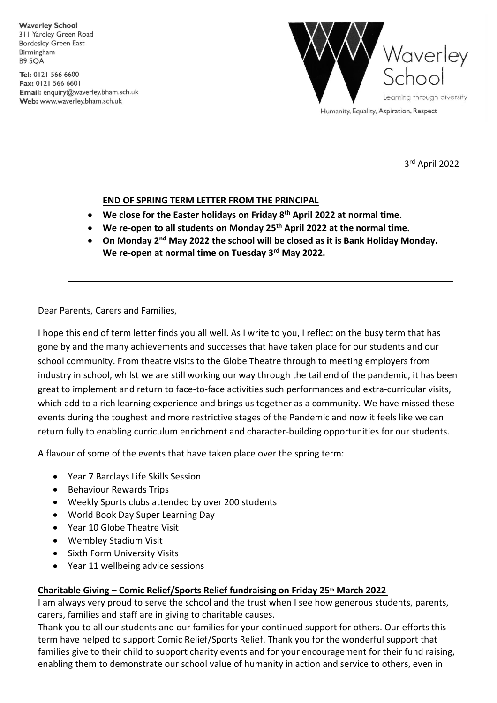**Waverley School** 311 Yardley Green Road **Bordesley Green East** Birmingham **B9 5OA** 

Tel: 0121 566 6600 Fax: 0121 566 6601 Email: enquiry@waverley.bham.sch.uk Web: www.waverley.bham.sch.uk



3 rd April 2022

## **END OF SPRING TERM LETTER FROM THE PRINCIPAL**

- **We close for the Easter holidays on Friday 8th April 2022 at normal time.**
- **We re-open to all students on Monday 25th April 2022 at the normal time.**
- **On Monday 2<sup>nd</sup> May 2022 the school will be closed as it is Bank Holiday Monday. We re-open at normal time on Tuesday 3 rd May 2022.**

Dear Parents, Carers and Families,

I hope this end of term letter finds you all well. As I write to you, I reflect on the busy term that has gone by and the many achievements and successes that have taken place for our students and our school community. From theatre visits to the Globe Theatre through to meeting employers from industry in school, whilst we are still working our way through the tail end of the pandemic, it has been great to implement and return to face-to-face activities such performances and extra-curricular visits, which add to a rich learning experience and brings us together as a community. We have missed these events during the toughest and more restrictive stages of the Pandemic and now it feels like we can return fully to enabling curriculum enrichment and character-building opportunities for our students.

A flavour of some of the events that have taken place over the spring term:

- Year 7 Barclays Life Skills Session
- **•** Behaviour Rewards Trips
- Weekly Sports clubs attended by over 200 students
- World Book Day Super Learning Day
- Year 10 Globe Theatre Visit
- Wembley Stadium Visit
- **•** Sixth Form University Visits
- Year 11 wellbeing advice sessions

### **Charitable Giving – Comic Relief/Sports Relief fundraising on Friday 25th March 2022**

I am always very proud to serve the school and the trust when I see how generous students, parents, carers, families and staff are in giving to charitable causes.

Thank you to all our students and our families for your continued support for others. Our efforts this term have helped to support Comic Relief/Sports Relief. Thank you for the wonderful support that families give to their child to support charity events and for your encouragement for their fund raising, enabling them to demonstrate our school value of humanity in action and service to others, even in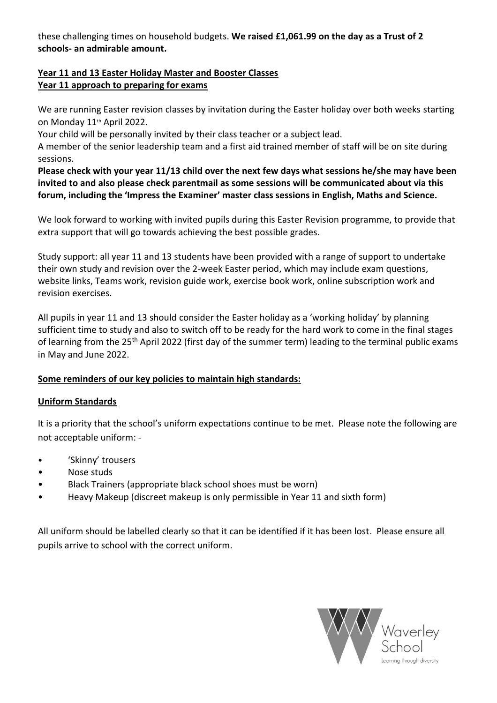these challenging times on household budgets. **We raised £1,061.99 on the day as a Trust of 2 schools- an admirable amount.**

## **Year 11 and 13 Easter Holiday Master and Booster Classes Year 11 approach to preparing for exams**

We are running Easter revision classes by invitation during the Easter holiday over both weeks starting on Monday 11th April 2022.

Your child will be personally invited by their class teacher or a subject lead.

A member of the senior leadership team and a first aid trained member of staff will be on site during sessions.

**Please check with your year 11/13 child over the next few days what sessions he/she may have been invited to and also please check parentmail as some sessions will be communicated about via this forum, including the 'Impress the Examiner' master class sessions in English, Maths and Science.**

We look forward to working with invited pupils during this Easter Revision programme, to provide that extra support that will go towards achieving the best possible grades.

Study support: all year 11 and 13 students have been provided with a range of support to undertake their own study and revision over the 2-week Easter period, which may include exam questions, website links, Teams work, revision guide work, exercise book work, online subscription work and revision exercises.

All pupils in year 11 and 13 should consider the Easter holiday as a 'working holiday' by planning sufficient time to study and also to switch off to be ready for the hard work to come in the final stages of learning from the 25<sup>th</sup> April 2022 (first day of the summer term) leading to the terminal public exams in May and June 2022.

# **Some reminders of our key policies to maintain high standards:**

# **Uniform Standards**

It is a priority that the school's uniform expectations continue to be met. Please note the following are not acceptable uniform: -

- 'Skinny' trousers
- Nose studs
- Black Trainers (appropriate black school shoes must be worn)
- Heavy Makeup (discreet makeup is only permissible in Year 11 and sixth form)

All uniform should be labelled clearly so that it can be identified if it has been lost. Please ensure all pupils arrive to school with the correct uniform.

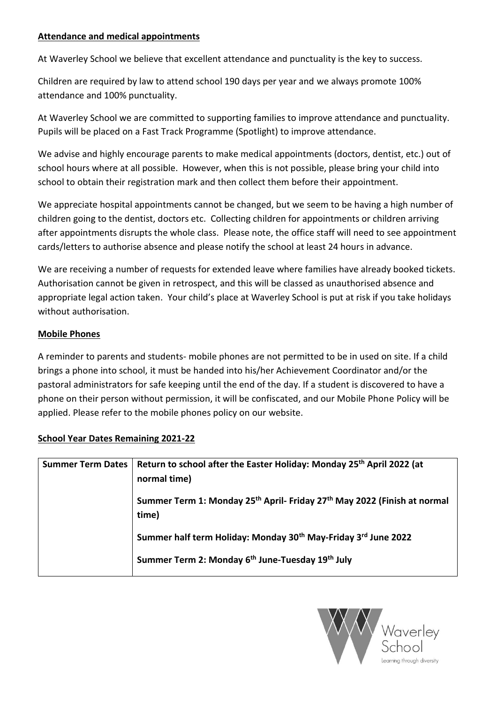### **Attendance and medical appointments**

At Waverley School we believe that excellent attendance and punctuality is the key to success.

Children are required by law to attend school 190 days per year and we always promote 100% attendance and 100% punctuality.

At Waverley School we are committed to supporting families to improve attendance and punctuality. Pupils will be placed on a Fast Track Programme (Spotlight) to improve attendance.

We advise and highly encourage parents to make medical appointments (doctors, dentist, etc.) out of school hours where at all possible. However, when this is not possible, please bring your child into school to obtain their registration mark and then collect them before their appointment.

We appreciate hospital appointments cannot be changed, but we seem to be having a high number of children going to the dentist, doctors etc. Collecting children for appointments or children arriving after appointments disrupts the whole class. Please note, the office staff will need to see appointment cards/letters to authorise absence and please notify the school at least 24 hours in advance.

We are receiving a number of requests for extended leave where families have already booked tickets. Authorisation cannot be given in retrospect, and this will be classed as unauthorised absence and appropriate legal action taken. Your child's place at Waverley School is put at risk if you take holidays without authorisation.

### **Mobile Phones**

A reminder to parents and students- mobile phones are not permitted to be in used on site. If a child brings a phone into school, it must be handed into his/her Achievement Coordinator and/or the pastoral administrators for safe keeping until the end of the day. If a student is discovered to have a phone on their person without permission, it will be confiscated, and our Mobile Phone Policy will be applied. Please refer to the mobile phones policy on our website.

| Summer Term Dates   Return to school after the Easter Holiday: Monday 25 <sup>th</sup> April 2022 (at<br>normal time) |
|-----------------------------------------------------------------------------------------------------------------------|
| Summer Term 1: Monday 25 <sup>th</sup> April- Friday 27 <sup>th</sup> May 2022 (Finish at normal<br>time)             |
| Summer half term Holiday: Monday 30 <sup>th</sup> May-Friday 3 <sup>rd</sup> June 2022                                |
| Summer Term 2: Monday 6th June-Tuesday 19th July                                                                      |
|                                                                                                                       |

### **School Year Dates Remaining 2021-22**